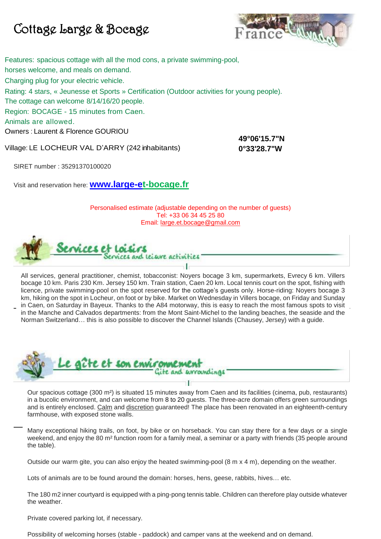## Cottage Large & Bocage



Features: spacious cottage with all the mod cons, a private swimming-pool, horses welcome, and meals on demand. Charging plug for your electric vehicle. Rating: 4 stars, « Jeunesse et Sports » Certification (Outdoor activities for young people). The cottage can welcome 8/14/16/20 people. Region: BOCAGE - 15 minutes from Caen. Animals are allowed. Owners : Laurent & Florence GOURIOU **49°06'15.7"N** 

Village: LE LOCHEUR VAL D'ARRY (242 inhabitants)

**0°33'28.7"W**

SIRET number : 35291370100020

Visit and reservation here: **[www.large-et-bocage.fr](http://www.large-et-bocage.fr/)**

Personalised estimate (adjustable depending on the number of guests) Tel: +33 06 34 45 25 80 Email: large.et.bocage@gmail.com



All services, general practitioner, chemist, tobacconist: Noyers bocage 3 km, supermarkets, Evrecy 6 km. Villers bocage 10 km. Paris 230 Km. Jersey 150 km. Train station, Caen 20 km. Local tennis court on the spot, fishing with licence, private swimming-pool on the spot reserved for the cottage's guests only. Horse-riding: Noyers bocage 3 km, hiking on the spot in Locheur, on foot or by bike. Market on Wednesday in Villers bocage, on Friday and Sunday in Caen, on Saturday in Bayeux. Thanks to the A84 motorway, this is easy to reach the most famous spots to visit in the Manche and Calvados departments: from the Mont Saint-Michel to the landing beaches, the seaside and the Norman Switzerland… this is also possible to discover the Channel Islands (Chausey, Jersey) with a guide.



Our spacious cottage (300 m²) is situated 15 minutes away from Caen and its facilities (cinema, pub, restaurants) in a bucolic environment, and can welcome from 8 to 20 guests. The three-acre domain offers green surroundings and is entirely enclosed. Calm and discretion guaranteed! The place has been renovated in an eighteenth-century farmhouse, with exposed stone walls.

Many exceptional hiking trails, on foot, by bike or on horseback. You can stay there for a few days or a single weekend, and enjoy the 80 m<sup>2</sup> function room for a family meal, a seminar or a party with friends (35 people around the table).

Outside our warm gite, you can also enjoy the heated swimming-pool (8 m x 4 m), depending on the weather.

Lots of animals are to be found around the domain: horses, hens, geese, rabbits, hives… etc.

The 180 m2 inner courtyard is equipped with a ping-pong tennis table. Children can therefore play outside whatever the weather.

Private covered parking lot, if necessary.

Possibility of welcoming horses (stable - paddock) and camper vans at the weekend and on demand.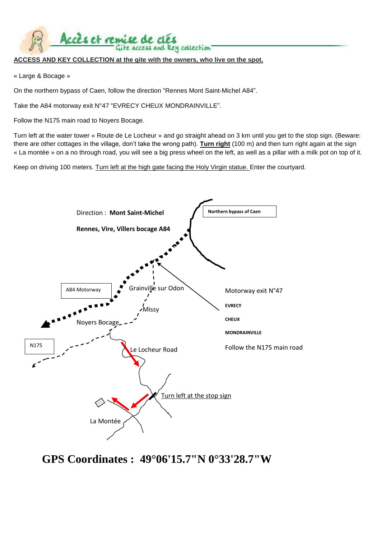## **ACCESS AND KEY COLLECTION at the gite with the owners, who live on the spot.**

te access and key collection

« Large & Bocage »

On the northern bypass of Caen, follow the direction "Rennes Mont Saint-Michel A84".

Take the A84 motorway exit N°47 "EVRECY CHEUX MONDRAINVILLE".

Accès et remise de clés

Follow the N175 main road to Noyers Bocage.

Turn left at the water tower « Route de Le Locheur » and go straight ahead on 3 km until you get to the stop sign. (Beware: there are other cottages in the village, don't take the wrong path). **Turn right** (100 m) and then turn right again at the sign « La montée » on a no through road, you will see a big press wheel on the left, as well as a pillar with a milk pot on top of it.

Keep on driving 100 meters. Turn left at the high gate facing the Holy Virgin statue. Enter the courtyard.



**GPS Coordinates : 49°06'15.7"N 0°33'28.7"W**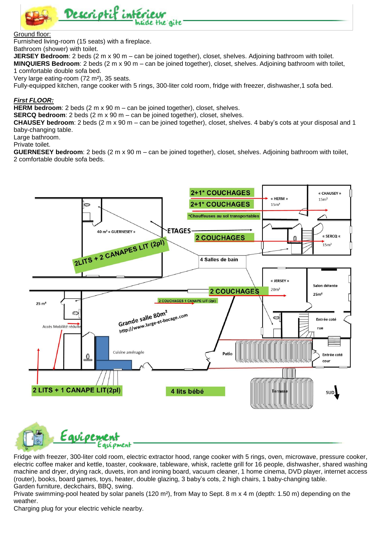

## Ground floor:

Furnished living-room (15 seats) with a fireplace.

Bathroom (shower) with toilet.

**JERSEY Bedroom**: 2 beds (2 m x 90 m – can be joined together), closet, shelves. Adjoining bathroom with toilet.

**MINQUIERS Bedroom**: 2 beds (2 m x 90 m – can be joined together), closet, shelves. Adjoining bathroom with toilet, 1 comfortable double sofa bed.

Very large eating-room (72 m²), 35 seats.

Fully-equipped kitchen, range cooker with 5 rings, 300-liter cold room, fridge with freezer, dishwasher,1 sofa bed.

## *First FLOOR:*

**HERM bedroom**: 2 beds (2 m x 90 m – can be joined together), closet, shelves.

**SERCQ bedroom**: 2 beds (2 m x 90 m – can be joined together), closet, shelves.

**CHAUSEY bedroom**: 2 beds (2 m x 90 m – can be joined together), closet, shelves. 4 baby's cots at your disposal and 1 baby-changing table.

Large bathroom.

Private toilet.

**GUERNESEY bedroom**: 2 beds (2 m x 90 m – can be joined together), closet, shelves. Adjoining bathroom with toilet, 2 comfortable double sofa beds.



Fridge with freezer, 300-liter cold room, electric extractor hood, range cooker with 5 rings, oven, microwave, pressure cooker, electric coffee maker and kettle, toaster, cookware, tableware, whisk, raclette grill for 16 people, dishwasher, shared washing machine and dryer, drying rack, duvets, iron and ironing board, vacuum cleaner, 1 home cinema, DVD player, internet access (router), books, board games, toys, heater, double glazing, 3 baby's cots, 2 high chairs, 1 baby-changing table. Garden furniture, deckchairs, BBQ, swing.

Private swimming-pool heated by solar panels (120 m<sup>2</sup>), from May to Sept. 8 m x 4 m (depth: 1.50 m) depending on the weather.

Charging plug for your electric vehicle nearby.